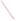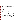AGENCY: ENVIRONMENTAL PROTECTION AGENCY (EPA)

TITLE: ASSISTANCE AGREEMENT FOR ENVIRONMENTAL JUSTICE AND AIR PERMITTING WORKSHOPS

ACTION: UPDATES AND ANSWERS TO QUESTIONS ABOUT THE ASSISTANCE AGREEMENT

RFA #OAR-OAQPS-ITPID-05-02 - Amendment 2

CATALOG OF FEDERAL DOMESTIC ASSISTANCE (CFDA) NO: 66-034

SUMMARY: EPA is providing supplemental information about the assistance agreement and answers to questions received on the assistance agreement.

EPA provides the following Q's and A's as supplemental information for prospective applicants.

1. Can the applicant use a subcontractor?

Response: Yes.

2. Where should the workshops be held?

Response: The limited available funding probably dictates that the workshop for EJ communities take place in a region that has lots of EJ community groups, to keep travel costs down. The advanced title V workshop can be anyplace that is easy to travel to, and the audience will be from across the country.

3. How many people should we plan on training at the workshops?

Response: In the past, we have used a target of 20-25 for the EJ communities workshop; 30-35 for the advanced title V workshop.

4. How much of the budget should be devoted to travel reimbursements?

Response: This figure can vary a lot depending on the number of participants and the distance they must travel. In the past, for the advanced T5 workshop, 40-50 % of the workshop budget has been allocated for travel and lodging for participants and presenters; around 35% of the workshops budget for the Clean Air Act training for EJ Communities was allocated to travel and lodging.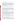5. What information is available from past workshops? Are there materials that are available to get a jump start on the workshops?

Response: The workshop for EJ communities has been piloted and those materials are available. The advanced title V workshop needs to be planned from scratch, since issues have changed over time. Copies of the agendas used for the pilot project for EJ communities and for one of the previous advanced title V workshops is found at the end of this notice. Persons who want the complete workshop materials should send an email to carraway.candace@epa.gov. The pilot project workshop materials are available in PDF format. The advanced title V workshop materials are available in WordPerfect.

EPA has received the following questions about the assistance agreement:

1. Where have similar workshops been held and who are the partners and participants in the training?

Answer: EPA has held workshops in each of its 10 Regional Offices on "Introduction to Title V Permitting" and two workshops entitled "Advanced Title V." The training partner for these workshops was Earthday Coalition, a non-profit in Cleveland Ohio. EPA recently partnered with Golden Gate University Law School to develop a pilot training workshop on the Clean Air Act for EJ communities. The primary audience for all of the workshops have been members and staff of community and environmental organizations.

2. If a nonprofit wants to partner with a University and apply for the grant, do they have to have a legal contract between them before they apply?

Answer: The term partner is very ambiguous. Also, its not when the legal relationship between the non-profit and the university is established, but how and for what purpose. If the non-profit applicant intends to conduct a joint project with the university by providing the university with a subaward as that term is defined at 40 CFR 30.2(ff), then the non-profit does not, as a legal matter, have to compete the subaward to the University. Typically, universities perform research or provide class room training under subgrants. Informal Agency policy encourages competition for subawards but it is not required under the grant regulations.

On the other hand, if all the university is doing is providing what amounts to commercial services for the non-profit such as bookkeeping or project management, then the non-profit would have to follow competitive procurement standards in 40 CFR part 30 to obtain those services.

Listing the university as a "partner" in the application does not absolve the non-profit from responsibility for complying with the applicable regulations.

3. We have an EPA funded air toxics grant to conduct compliance assistance education and training programs with Latino auto body shop workers in Lawrence, MA. The program has been very successful and we have been asked to share our training materials, methods, and strategies with other communities in MA with similar demographic profiles. Would a training program for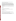local officials, residents, auto body shop workers, and community organizations in EJ communities in MA be appropriate for this RFA?

Answer: A training program for local officials, residents, auto body shop workers, and community organizations in EJ communities in MA could be appropriate for one part of the assistance agreement, i.e., the workshop on the Clean Air Act for EJ communities. However, EPA expects that workshop to be a review of several Clean Air Programs, including permitting and State Implementation Plans, not just air toxics and compliance. Additionally, the second workshop on Advanced title V issues should be geared towards persons and groups that have substantial experience with title V issues. It is not clear whether the persons you describe would have that experience.

4. Were the funding amounts for previous workshops similar to the funding for this assistance agreement?

Answer: Yes.

5. What characteristics will the successful applicant have?

Answer: Please refer to the evaluation criteria listed in the section V of the Request For Applications (RFA).

6. Are colleges eligible applicants?

Answer: Yes.

7. A petroleum refinery wants to locate in our area, and a number of communities may be affected. Is it premature to apply for this assistance agreement?

Answer: EPA is not in a position to say whether the application would be premature. Please refer to the evaluation criteria listed in the section V of the Request For Applications (RFA) and the other material provided in this announcement to make that determination.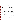Agendas used in previous trainings:

# *Clean Air Act Training Golden Gate University School of Law San Francisco, CA July 16 &17, 2004*

#### *AGENDA*

#### Friday, July 16 Saturday, July 17

| 8:30-9:00       | Registration                                                                                                                 | 8:30-9:00   | Review agenda                                                                                                        |
|-----------------|------------------------------------------------------------------------------------------------------------------------------|-------------|----------------------------------------------------------------------------------------------------------------------|
| $9:00-10:15$    | Introductions and Welcome                                                                                                    | 9:10-11:00  | Overview of Clean Air Act Permitting, with<br><b>Emphasis on New Source Review</b>                                   |
| $10:00 - 10:15$ | <b>Break</b>                                                                                                                 |             | Matt Haber, USEPA Region 9;<br>Kelly Haragan, Environmental Integrity<br>Project                                     |
| 10:25-11:30     | Overview of Air Pollution: Sources<br>and Applicable Laws                                                                    | 11:00-11:10 | <b>Break</b>                                                                                                         |
|                 | Eileen Gauna, Southwestern<br>University School of Law; Cliff<br>Rechtschaffen, Golden Gate<br>University School of Law      | 11:10-12:00 | Introduction to Environmental Justice<br>Richard Drury, Adams Broadwell Joseph &<br>Cardozo                          |
| 11:30-1:00      | Lunch                                                                                                                        | 12:00-1:00  | Lunch                                                                                                                |
| $1:00-2:00$     | Overview of Clean Air Act<br>Veronica Eady, Tufts University                                                                 | $1:00-1:45$ | Exercise on EJ and Permitting<br>Richard Drury, Adams Broadwell Joseph &<br>Cardozo                                  |
| $2:00-2:10$     | <b>Break</b>                                                                                                                 | $1:45-2:40$ | Introduction to Title V Operating Permits<br>Candace Carraway, USEPA Office of Air<br>Quality Planning and Standards |
| $2:10-3:45$     | <b>State Implementation Plans</b><br>Genevieve Damico, USEPA<br>Region 5, Alan Ramo, Golden<br>Gate University School of Law | $2:40-2:50$ | <b>Break</b>                                                                                                         |
| $3:45-3:55$     | <b>Break</b>                                                                                                                 | $2:50-3:15$ | Exercise on Title V<br>Candace Carraway, USEPA Office of Air<br>Quality Planning and Standards                       |
| $3:55-4:25$     | Hazardous Air Pollutants<br>Genevieve Damico, USEPA<br>Region 5                                                              | $3:15-4:15$ | <b>Emerging Issues</b><br>Helen Kang, Golden Gate University School<br>of Law                                        |
| $4:25-4:45$     | Feedback, logistics, wrap-up                                                                                                 | $4:15-5:00$ | Feedback, wrap-up, next steps                                                                                        |

---------------------------------------------------------------------------------------------------------------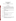## *Advanced Title V Training Workshop Research Triangle Park, NC May 13-14, 2002 Sponsored by Earth Day Coalition and the US Environmental Protection Agency*

#### *AGENDA*

## **Day One- Monday May 13**

- noon-12:30 **Introductions, welcome, ground rules, review day one agenda**: Adam Zeller (Earth Day Coalition), Bill Harnett (EPA Office of Air Quality Planning and Standards), Candace Carraway (EPA OAQPS)
- 12:30-1:30 **How Sources Get out of Title V**: Glenn Landers (Ohio Sierra Club), Carol Holmes (EPA Office of General Counsel), Genevieve Damico (EPA Region V)
- 1:30 -2:00 **Introduction to Monitoring**: Kelly Haragan (Texas Public Citizen), Barrett Parker (EPA OAQPS)
- 2:00 2:15 **Break**
- 2:15- 3:30 **CAM:** Kelly Haragan (Texas Public Citizen), Barrett Parker (EPA OAQPS)
- 3:30-4:30 **Technology and Monitoring**: Jane Williams (California Communities Against Toxics)
- 4:30-4:45 **Feedback from participants**: Adam Zeller (EDC)
- 4:45-5:00 **Break**
- 5:00-6:00 **Title V Reporting**: Keri Powell (Earthjustice), Margaret Love (North Carolina Department of Natural and Environmental Resources) Tracy Peel (New York Public Interest Research Group)